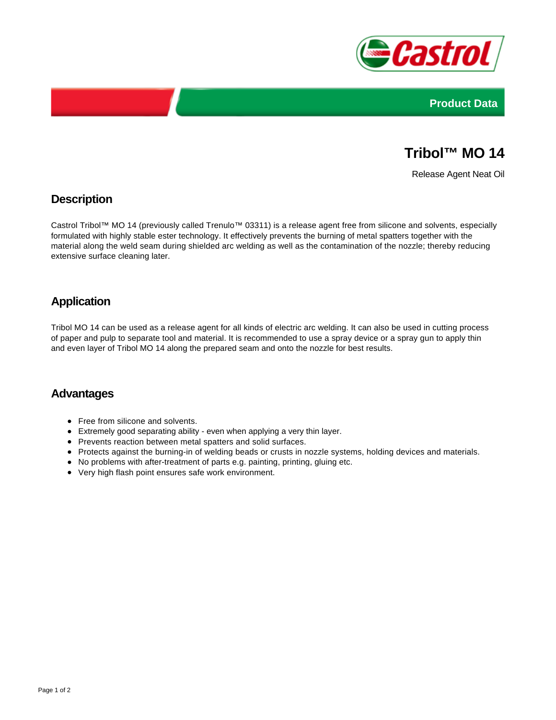



# **Tribol™ MO 14**

Release Agent Neat Oil

### **Description**

Castrol Tribol™ MO 14 (previously called Trenulo™ 03311) is a release agent free from silicone and solvents, especially formulated with highly stable ester technology. It effectively prevents the burning of metal spatters together with the material along the weld seam during shielded arc welding as well as the contamination of the nozzle; thereby reducing extensive surface cleaning later.

## **Application**

Tribol MO 14 can be used as a release agent for all kinds of electric arc welding. It can also be used in cutting process of paper and pulp to separate tool and material. It is recommended to use a spray device or a spray gun to apply thin and even layer of Tribol MO 14 along the prepared seam and onto the nozzle for best results.

#### **Advantages**

- Free from silicone and solvents.
- Extremely good separating ability even when applying a very thin layer.
- Prevents reaction between metal spatters and solid surfaces.
- Protects against the burning-in of welding beads or crusts in nozzle systems, holding devices and materials.
- No problems with after-treatment of parts e.g. painting, printing, gluing etc.
- Very high flash point ensures safe work environment.